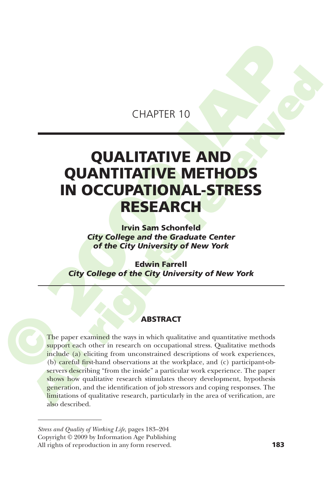# Chapter 10

# CHAPTER 10<br> **CHAPTER 10**<br> **QUANTITATIVE AND<br>
QUANTITATIVE METHODS**<br>
IN OCCUPATIONAL-STRESS<br>
RESEARCH<br>
The part of the City University of New York<br>
Tely College and the Graduate Center<br>
City College of the City University o Qualitative and Quantitative Methods in Occupational-Stress **RESEARCH**

Irvin Sam Schonfeld *City College and the Graduate Center of the City University of New York*

Edwin Farrell *City College of the City University of New York*

# **ABSTRACT**

CHAPTER 10<br>
CHAPTER 10<br> **QUALITATIVE METHODS**<br> **QUANTITATIVE METHODS**<br> **IN OCCUPATIONAL-STRESS**<br> **RESEARCH**<br> **IN OCCUPATIONAL-STRESS**<br>
RESEARCH<br> **IN OCCUPATIONAL-STRESS**<br>
City college and the Graduate Center<br>
of the City U The paper examined the ways in which qualitative and quantitative methods support each other in research on occupational stress. Qualitative methods include (a) eliciting from unconstrained descriptions of work experiences, (b) careful first-hand observations at the workplace, and (c) participant-observers describing "from the inside" a particular work experience. The paper shows how qualitative research stimulates theory development, hypothesis generation, and the identification of job stressors and coping responses. The limitations of qualitative research, particularly in the area of verification, are also described.

*Stress and Quality of Working Life*, pages 183–204 Copyright © 2009 by Information Age Publishing All rights of reproduction in any form reserved. 183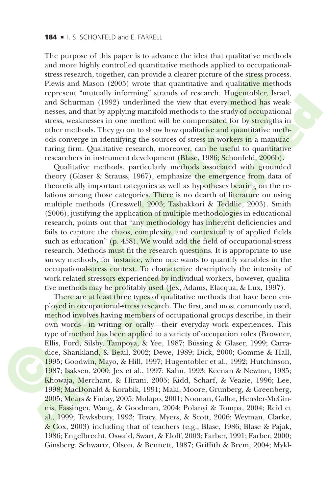The purpose of this paper is to advance the idea that qualitative methods and more highly controlled quantitative methods applied to occupationalstress research, together, can provide a clearer picture of the stress process. Plewis and Mason (2005) wrote that quantitative and qualitative methods represent "mutually informing" strands of research. Hugentobler, Israel, and Schurman (1992) underlined the view that every method has weaknesses, and that by applying manifold methods to the study of occupational stress, weaknesses in one method will be compensated for by strengths in other methods. They go on to show how qualitative and quantitative methods converge in identifying the sources of stress in workers in a manufacturing firm. Qualitative research, moreover, can be useful to quantitative researchers in instrument development (Blase, 1986; Schonfeld, 2006b).

stress research, together, can provide a clearer picture of the stress process<br>Plewis and Mason (2009) worte that quantitative and qualitative method has weak<br>represent "nutually informing" strands of research. Hugentobler Qualitative methods, particularly methods associated with grounded theory (Glaser & Strauss, 1967), emphasize the emergence from data of theoretically important categories as well as hypotheses bearing on the relations among those categories. There is no dearth of literature on using multiple methods (Cresswell, 2003; Tashakkori & Teddlie, 2003). Smith (2006), justifying the application of multiple methodologies in educational research, points out that "any methodology has inherent deficiencies and fails to capture the chaos, complexity, and contextuality of applied fields such as education" (p. 458). We would add the field of occupational-stress research. Methods must fit the research questions. It is appropriate to use survey methods, for instance, when one wants to quantify variables in the occupational-stress context. To characterize descriptively the intensity of work-related stressors experienced by individual workers, however, qualitative methods may be profitably used (Jex, Adams, Elacqua, & Lux, 1997).

reposent minimum into minimum is statutes of research. Fuely<br>state, state, and that complement and state measures, and that they been the<br>state measures, and that the state measures, and the state measures,<br>served and popp There are at least three types of qualitative methods that have been employed in occupational-stress research. The first, and most commonly used, method involves having members of occupational groups describe, in their own words—in writing or orally—their everyday work experiences. This type of method has been applied to a variety of occupation roles (Browner, Ellis, Ford, Silsby, Tampoya, & Yee, 1987; Büssing & Glaser, 1999; Carradice, Shankland, & Beail, 2002; Dewe, 1989; Dick, 2000; Gomme & Hall, 1995; Goodwin, Mayo, & Hill, 1997; Hugentobler et al., 1992; Hutchinson, 1987; Isaksen, 2000; Jex et al., 1997; Kahn, 1993; Keenan & Newton, 1985; Khowaja, Merchant, & Hirani, 2005; Kidd, Scharf, & Veazie, 1996; Lee, 1998; MacDonald & Korabik, 1991; Maki, Moore, Grunberg, & Greenberg, 2005; Mears & Finlay, 2005; Molapo, 2001; Noonan, Gallor, Hensler-McGinnis, Fassinger, Wang, & Goodman, 2004; Polanyi & Tompa, 2004; Reid et al., 1999; Tewksbury, 1993; Tracy, Myers, & Scott, 2006; Weyman, Clarke, & Cox, 2003) including that of teachers (e.g., Blase, 1986; Blase & Pajak, 1986; Engelbrecht, Oswald, Swart, & Eloff, 2003; Farber, 1991; Farber, 2000; Ginsberg, Schwartz, Olson, & Bennett, 1987; Griffith & Brem, 2004; Mykl-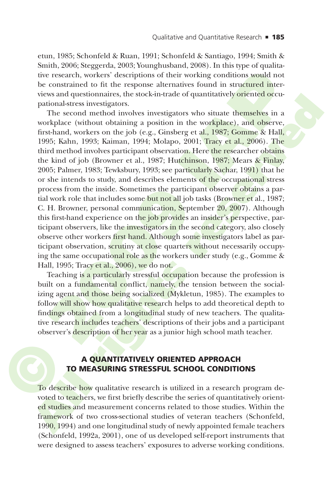etun, 1985; Schonfeld & Ruan, 1991; Schonfeld & Santiago, 1994; Smith & Smith, 2006; Steggerda, 2003; Younghusband, 2008). In this type of qualitative research, workers' descriptions of their working conditions would not be constrained to fit the response alternatives found in structured interviews and questionnaires, the stock-in-trade of quantitatively oriented occupational-stress investigators.

rive research, workers' descriptions of their working conditions would not<br>be constrained to fit the response alternatives found in structured inter-<br>views and questionnairs, the stock-in-trade of quantitatively oriented views and questionnaires; the stock-in-trade of quantitatively oriented occur-<br>particular-line conditively meaning a position in the workplace), and observe, in a<br>workplace (without obtaining a position in the workplace), The second method involves investigators who situate themselves in a workplace (without obtaining a position in the workplace), and observe, first-hand, workers on the job (e.g., Ginsberg et al., 1987; Gomme & Hall, 1995; Kahn, 1993; Kaiman, 1994; Molapo, 2001; Tracy et al., 2006). The third method involves participant observation. Here the researcher obtains the kind of job (Browner et al., 1987; Hutchinson, 1987; Mears & Finlay, 2005; Palmer, 1983; Tewksbury, 1993; see particularly Sachar, 1991) that he or she intends to study, and describes elements of the occupational stress process from the inside. Sometimes the participant observer obtains a partial work role that includes some but not all job tasks (Browner et al., 1987; C. H. Browner, personal communication, September 20, 2007). Although this first-hand experience on the job provides an insider's perspective, participant observers, like the investigators in the second category, also closely observe other workers first hand. Although some investigators label as participant observation, scrutiny at close quarters without necessarily occupying the same occupational role as the workers under study (e.g., Gomme & Hall, 1995; Tracy et al., 2006), we do not.

Teaching is a particularly stressful occupation because the profession is built on a fundamental conflict, namely, the tension between the socializing agent and those being socialized (Mykletun, 1985). The examples to follow will show how qualitative research helps to add theoretical depth to findings obtained from a longitudinal study of new teachers. The qualitative research includes teachers' descriptions of their jobs and a participant observer's description of her year as a junior high school math teacher.

# A Quantitatively Oriented Approach to Measuring Stressful School Conditions

To describe how qualitative research is utilized in a research program devoted to teachers, we first briefly describe the series of quantitatively oriented studies and measurement concerns related to those studies. Within the framework of two cross-sectional studies of veteran teachers (Schonfeld, 1990, 1994) and one longitudinal study of newly appointed female teachers (Schonfeld, 1992a, 2001), one of us developed self-report instruments that were designed to assess teachers' exposures to adverse working conditions.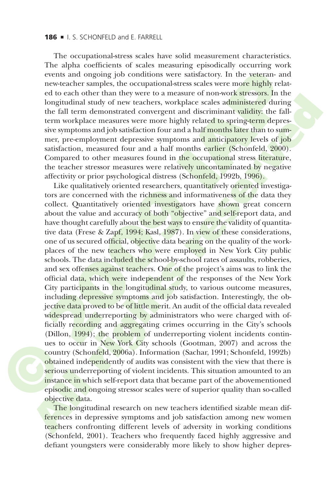### 186 **I.** S. SCHONFELD and E. FARRELL

The occupational-stress scales have solid measurement characteristics. The alpha coefficients of scales measuring episodically occurring work events and ongoing job conditions were satisfactory. In the veteran- and new-teacher samples, the occupational-stress scales were more highly related to each other than they were to a measure of non-work stressors. In the longitudinal study of new teachers, workplace scales administered during the fall term demonstrated convergent and discriminant validity: the fallterm workplace measures were more highly related to spring-term depressive symptoms and job satisfaction four and a half months later than to summer, pre-employment depressive symptoms and anticipatory levels of job satisfaction, measured four and a half months earlier (Schonfeld, 2000). Compared to other measures found in the occupational stress literature, the teacher stressor measures were relatively uncontaminated by negative affectivity or prior psychological distress (Schonfeld, 1992b, 1996).

events and ongoing job conditions were satisfactory. In the veteran-<br>and new-teach and new teach and the recording stress scales sere more highly related to ecan other than they were to a measure of non-work stressors. In Euro cean to me was both and mey were to a measure on non-work, suessors, in the first term or<br>photomal study of new teachers, workplace scales administered during<br>the fall term or<br>denotes measures were not highly related Like qualitatively oriented researchers, quantitatively oriented investigators are concerned with the richness and informativeness of the data they collect. Quantitatively oriented investigators have shown great concern about the value and accuracy of both "objective" and self-report data, and have thought carefully about the best ways to ensure the validity of quantitative data (Frese & Zapf, 1994; Kasl, 1987). In view of these considerations, one of us secured official, objective data bearing on the quality of the workplaces of the new teachers who were employed in New York City public schools. The data included the school-by-school rates of assaults, robberies, and sex offenses against teachers. One of the project's aims was to link the official data, which were independent of the responses of the New York City participants in the longitudinal study, to various outcome measures, including depressive symptoms and job satisfaction. Interestingly, the objective data proved to be of little merit. An audit of the official data revealed widespread underreporting by administrators who were charged with officially recording and aggregating crimes occurring in the City's schools (Dillon, 1994); the problem of underreporting violent incidents continues to occur in New York City schools (Gootman, 2007) and across the country (Schonfeld, 2006a). Information (Sachar, 1991; Schonfeld, 1992b) obtained independently of audits was consistent with the view that there is serious underreporting of violent incidents. This situation amounted to an instance in which self-report data that became part of the abovementioned episodic and ongoing stressor scales were of superior quality than so-called objective data.

The longitudinal research on new teachers identified sizable mean differences in depressive symptoms and job satisfaction among new women teachers confronting different levels of adversity in working conditions (Schonfeld, 2001). Teachers who frequently faced highly aggressive and defiant youngsters were considerably more likely to show higher depres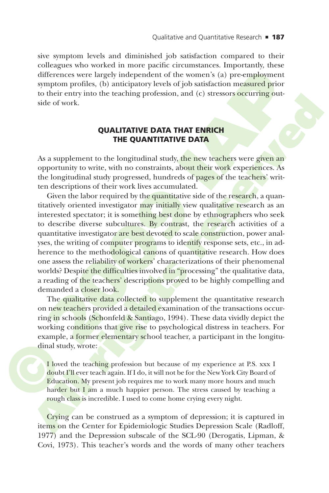sive symptom levels and diminished job satisfaction compared to their colleagues who worked in more pacific circumstances. Importantly, these differences were largely independent of the women's (a) pre-employment symptom profiles, (b) anticipatory levels of job satisfaction measured prior to their entry into the teaching profession, and (c) stressors occurring outside of work.

### Qualitative Data that enrich the quantitative data

As a supplement to the longitudinal study, the new teachers were given an opportunity to write, with no constraints, about their work experiences. As the longitudinal study progressed, hundreds of pages of the teachers' written descriptions of their work lives accumulated.

differences were largely independent of the women's (a) pre-employment symptom profiles, (b) anticipatory levels of job satisfaction measured prior to their entry into the teaching profession, and (c) stressors occurring o to the relative this control to the location of the teachers are entropy to the control to the control of the control of the control of the control of the control of the control of the control of the control of the descri Given the labor required by the quantitative side of the research, a quantitatively oriented investigator may initially view qualitative research as an interested spectator; it is something best done by ethnographers who seek to describe diverse subcultures. By contrast, the research activities of a quantitative investigator are best devoted to scale construction, power analyses, the writing of computer programs to identify response sets, etc., in adherence to the methodological canons of quantitative research. How does one assess the reliability of workers' characterizations of their phenomenal worlds? Despite the difficulties involved in "processing" the qualitative data, a reading of the teachers' descriptions proved to be highly compelling and demanded a closer look.

The qualitative data collected to supplement the quantitative research on new teachers provided a detailed examination of the transactions occurring in schools (Schonfeld & Santiago, 1994). These data vividly depict the working conditions that give rise to psychological distress in teachers. For example, a former elementary school teacher, a participant in the longitudinal study, wrote:

I loved the teaching profession but because of my experience at P.S. xxx I doubt I'll ever teach again. If I do, it will not be for the New York City Board of Education. My present job requires me to work many more hours and much harder but I am a much happier person. The stress caused by teaching a rough class is incredible. I used to come home crying every night.

Crying can be construed as a symptom of depression; it is captured in items on the Center for Epidemiologic Studies Depression Scale (Radloff, 1977) and the Depression subscale of the SCL-90 (Derogatis, Lipman, & Covi, 1973). This teacher's words and the words of many other teachers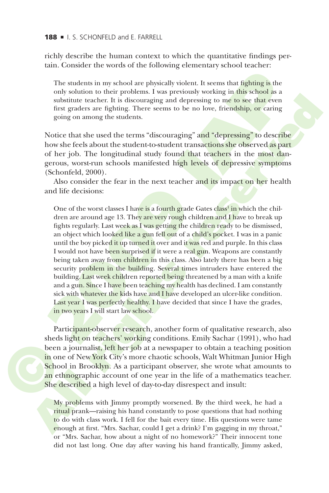richly describe the human context to which the quantitative findings pertain. Consider the words of the following elementary school teacher:

The students in my school are physically violent. It seems that fighting is the only solution to their problems. I was previously working in this school as a substitute teacher. It is discouraging and depressing to me to see that even first graders are fighting. There seems to be no love, friendship, or caring going on among the students.

Notice that she used the terms "discouraging" and "depressing" to describe how she feels about the student-to-student transactions she observed as part of her job. The longitudinal study found that teachers in the most dangerous, worst-run schools manifested high levels of depressive symptoms (Schonfeld, 2000).

Also consider the fear in the next teacher and its impact on her health and life decisions:

The students in my school are physically violent. It seems that fighting is the only solution to their problems. I was precisionly vorking in this school is a substitute teacher. It is discouraging and depressing to me os substitute teacher. It is discouraging and depressing to not be see that even<br>first grad at equiting. There seems to be no lose, friendship, or caring<br>points on among the studients.<br>Notice that she used the terms "discour One of the worst classes I have is a fourth grade Gates class<sup>1</sup> in which the children are around age 13. They are very rough children and I have to break up fights regularly. Last week as I was getting the children ready to be dismissed, an object which looked like a gun fell out of a child's pocket. I was in a panic until the boy picked it up turned it over and it was red and purple. In this class I would not have been surprised if it were a real gun. Weapons are constantly being taken away from children in this class. Also lately there has been a big security problem in the building. Several times intruders have entered the building. Last week children reported being threatened by a man with a knife and a gun. Since I have been teaching my health has declined. I am constantly sick with whatever the kids have and I have developed an ulcer-like condition. Last year I was perfectly healthy. I have decided that since I have the grades, in two years I will start law school.

Participant-observer research, another form of qualitative research, also sheds light on teachers' working conditions. Emily Sachar (1991), who had been a journalist, left her job at a newspaper to obtain a teaching position in one of New York City's more chaotic schools, Walt Whitman Junior High School in Brooklyn. As a participant observer, she wrote what amounts to an ethnographic account of one year in the life of a mathematics teacher. She described a high level of day-to-day disrespect and insult:

My problems with Jimmy promptly worsened. By the third week, he had a ritual prank—raising his hand constantly to pose questions that had nothing to do with class work. I fell for the bait every time. His questions were tame enough at first. "Mrs. Sachar, could I get a drink? I'm gagging in my throat," or "Mrs. Sachar, how about a night of no homework?" Their innocent tone did not last long. One day after waving his hand frantically, Jimmy asked,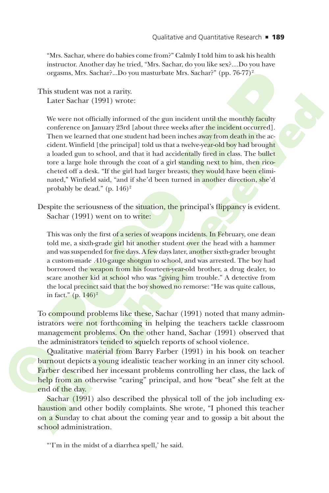"Mrs. Sachar, where do babies come from?" Calmly I told him to ask his health instructor. Another day he tried, "Mrs. Sachar, do you like sex?....Do you have orgasms, Mrs. Sachar?...Do you masturbate Mrs. Sachar?" (pp. 76-77)2

This student was not a rarity.

Later Sachar (1991) wrote:

orgasms, Mrs. Sachar?...Do you masturhate Mrs. Sachar?" (pp. 76-77)\*<br>
This student was not a rarity.<br>
Later Sachar (1991) wrote:<br>
We vere not findally informed of the gun incident until the monthly faculty<br>
We vere not fi Later Sachar (1991) word:<br>
Later Sachar (1991) word:<br>
We were not officially informed of the gun incident until the monthly faculy<br>
conference on Jamany 25td (about three webs after the indefine occurred).<br>
Then we learne We were not officially informed of the gun incident until the monthly faculty conference on January 23rd [about three weeks after the incident occurred]. Then we learned that one student had been inches away from death in the accident. Winfield [the principal] told us that a twelve-year-old boy had brought a loaded gun to school, and that it had accidentally fired in class. The bullet tore a large hole through the coat of a girl standing next to him, then ricocheted off a desk. "If the girl had larger breasts, they would have been eliminated," Winfield said, "and if she'd been turned in another direction, she'd probably be dead."  $(p. 146)^2$ 

Despite the seriousness of the situation, the principal's flippancy is evident. Sachar (1991) went on to write:

This was only the first of a series of weapons incidents. In February, one dean told me, a sixth-grade girl hit another student over the head with a hammer and was suspended for five days. A few days later, another sixth-grader brought a custom-made .410-gauge shotgun to school, and was arrested. The boy had borrowed the weapon from his fourteen-year-old brother, a drug dealer, to scare another kid at school who was "giving him trouble." A detective from the local precinct said that the boy showed no remorse: "He was quite callous, in fact."  $(p. 146)^2$ 

To compound problems like these, Sachar (1991) noted that many administrators were not forthcoming in helping the teachers tackle classroom management problems. On the other hand, Sachar (1991) observed that the administrators tended to squelch reports of school violence.

Qualitative material from Barry Farber (1991) in his book on teacher burnout depicts a young idealistic teacher working in an inner city school. Farber described her incessant problems controlling her class, the lack of help from an otherwise "caring" principal, and how "beat" she felt at the end of the day.

Sachar (1991) also described the physical toll of the job including exhaustion and other bodily complaints. She wrote, "I phoned this teacher on a Sunday to chat about the coming year and to gossip a bit about the school administration.

"'I'm in the midst of a diarrhea spell,' he said.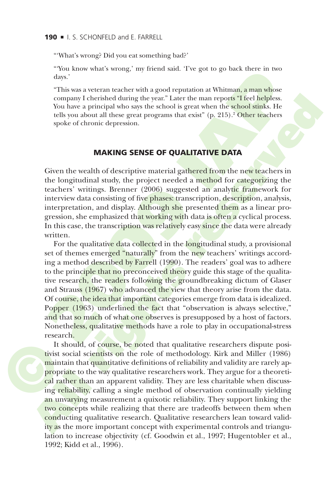"'What's wrong? Did you eat something bad?'

"'You know what's wrong,' my friend said. 'I've got to go back there in two days.'

"This was a veteran teacher with a good reputation at Whitman, a man whose company I cherished during the year." Later the man reports "I feel helpless. You have a principal who says the school is great when the school stinks. He tells you about all these great programs that exist"  $(p. 215).$ <sup>2</sup> Other teachers spoke of chronic depression.

# Making Sense of Qualitative Data

Given the wealth of descriptive material gathered from the new teachers in the longitudinal study, the project needed a method for categorizing the teachers' writings. Brenner (2006) suggested an analytic framework for interview data consisting of five phases: transcription, description, analysis, interpretation, and display. Although she presented them as a linear progression, she emphasized that working with data is often a cyclical process. In this case, the transcription was relatively easy since the data were already written.

For was a secure trache train a sate. The grad transmit and the secure track and the cases are compared the scan compary of chemical compary is compary is chemical compary is compary is chemical compary is expected to the company I cherished during the year." Later the mean report ST leed helpless. He we apincipal who say the school is great when the school siting. Here, the best constant and constant and constant exist (p. 215).<sup>7</sup> Other For the qualitative data collected in the longitudinal study, a provisional set of themes emerged "naturally" from the new teachers' writings according a method described by Farrell (1990). The readers' goal was to adhere to the principle that no preconceived theory guide this stage of the qualitative research, the readers following the groundbreaking dictum of Glaser and Strauss (1967) who advanced the view that theory arise from the data. Of course, the idea that important categories emerge from data is idealized. Popper (1963) underlined the fact that "observation is always selective," and that so much of what one observes is presupposed by a host of factors. Nonetheless, qualitative methods have a role to play in occupational-stress research.

It should, of course, be noted that qualitative researchers dispute positivist social scientists on the role of methodology. Kirk and Miller (1986) maintain that quantitative definitions of reliability and validity are rarely appropriate to the way qualitative researchers work. They argue for a theoretical rather than an apparent validity. They are less charitable when discussing reliability, calling a single method of observation continually yielding an unvarying measurement a quixotic reliability. They support linking the two concepts while realizing that there are tradeoffs between them when conducting qualitative research. Qualitative researchers lean toward validity as the more important concept with experimental controls and triangulation to increase objectivity (cf. Goodwin et al., 1997; Hugentobler et al., 1992; Kidd et al., 1996).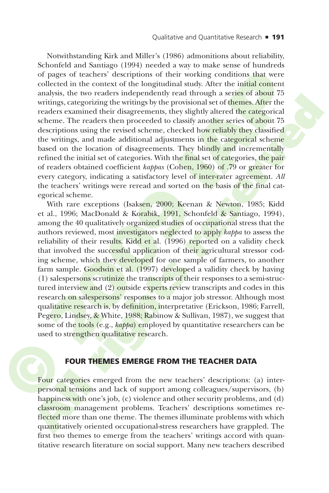Notwithstanding Kirk and Miller's (1986) admonitions about reliability, Schonfeld and Santiago (1994) needed a way to make sense of hundreds of pages of teachers' descriptions of their working conditions that were collected in the context of the longitudinal study. After the initial content analysis, the two readers independently read through a series of about 75 writings, categorizing the writings by the provisional set of themes. After the readers examined their disagreements, they slightly altered the categorical scheme. The readers then proceeded to classify another series of about 75 descriptions using the revised scheme, checked how reliably they classified the writings, and made additional adjustments in the categorical scheme based on the location of disagreements. They blindly and incrementally refined the initial set of categories. With the final set of categories, the pair of readers obtained coefficient *kappas* (Cohen, 1960) of .79 or greater for every category, indicating a satisfactory level of inter-rater agreement. *All* the teachers' writings were reread and sorted on the basis of the final categorical scheme.

of pages of reachers' descriptions of their working conditions that were<br>colected in the context of the longitudinal study.<br>After the initial context colected in the context of the longitudinal study.<br>After the initial co anays, in: to wrotaes nuce<br>penneturity reat monogra a series to anom risk matrices. The case<br>of the continue of the provisional set of themes. After the real<br>descriptions with the case of the provisional set of themes. Af With rare exceptions (Isaksen, 2000; Keenan & Newton, 1985; Kidd et al., 1996; MacDonald & Korabik, 1991, Schonfeld & Santiago, 1994), among the 40 qualitatively organized studies of occupational stress that the authors reviewed, most investigators neglected to apply *kappa* to assess the reliability of their results. Kidd et al. (1996) reported on a validity check that involved the successful application of their agricultural stressor coding scheme, which they developed for one sample of farmers, to another farm sample. Goodwin et al. (1997) developed a validity check by having (1) salespersons scrutinize the transcripts of their responses to a semi-structured interview and (2) outside experts review transcripts and codes in this research on salespersons' responses to a major job stressor. Although most qualitative research is, by definition, interpretative (Erickson, 1986; Farrell, Pegero, Lindsey, & White, 1988; Rabinow & Sullivan, 1987), we suggest that some of the tools (e.g., *kappa*) employed by quantitative researchers can be used to strengthen qualitative research.

# FOUR THEMES EMERGE FROM THE TEACHER DATA

Four categories emerged from the new teachers' descriptions: (a) interpersonal tensions and lack of support among colleagues/supervisors, (b) happiness with one's job, (c) violence and other security problems, and (d) classroom management problems. Teachers' descriptions sometimes reflected more than one theme. The themes illuminate problems with which quantitatively oriented occupational-stress researchers have grappled. The first two themes to emerge from the teachers' writings accord with quantitative research literature on social support. Many new teachers described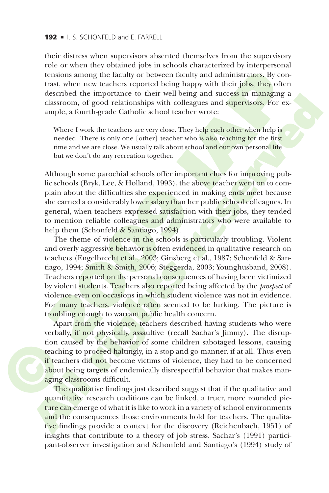their distress when supervisors absented themselves from the supervisory role or when they obtained jobs in schools characterized by interpersonal tensions among the faculty or between faculty and administrators. By contrast, when new teachers reported being happy with their jobs, they often described the importance to their well-being and success in managing a classroom, of good relationships with colleagues and supervisors. For example, a fourth-grade Catholic school teacher wrote:

Where I work the teachers are very close. They help each other when help is needed. There is only one [other] teacher who is also teaching for the first time and we are close. We usually talk about school and our own personal life but we don't do any recreation together.

Although some parochial schools offer important clues for improving public schools (Bryk, Lee, & Holland, 1993), the above teacher went on to complain about the difficulties she experienced in making ends meet because she earned a considerably lower salary than her public school colleagues. In general, when teachers expressed satisfaction with their jobs, they tended to mention reliable colleagues and administrators who were available to help them (Schonfeld & Santiago, 1994).

tensions among the faculty or between faculty and administrators. By contrast, when new teachers reported being happy with their jobs, they ofter described the inportance to their will-being and success in managing classro desirroe to the melanomial and sole and sole and manifesting and sole and manifesting and dispersions, for example, a fourth-gradie Catholic school teacher worse. They help each other where level, there are the word the me The theme of violence in the schools is particularly troubling. Violent and overly aggressive behavior is often evidenced in qualitative research on teachers (Engelbrecht et al., 2003; Ginsberg et al., 1987; Schonfeld & Santiago, 1994; Smith & Smith, 2006; Steggerda, 2003; Younghusband, 2008). Teachers reported on the personal consequences of having been victimized by violent students. Teachers also reported being affected by the *prospect* of violence even on occasions in which student violence was not in evidence. For many teachers, violence often seemed to be lurking. The picture is troubling enough to warrant public health concern.

Apart from the violence, teachers described having students who were verbally, if not physically, assaultive (recall Sachar's Jimmy). The disruption caused by the behavior of some children sabotaged lessons, causing teaching to proceed haltingly, in a stop-and-go manner, if at all. Thus even if teachers did not become victims of violence, they had to be concerned about being targets of endemically disrespectful behavior that makes managing classrooms difficult.

The qualitative findings just described suggest that if the qualitative and quantitative research traditions can be linked, a truer, more rounded picture can emerge of what it is like to work in a variety of school environments and the consequences those environments hold for teachers. The qualitative findings provide a context for the discovery (Reichenbach, 1951) of insights that contribute to a theory of job stress. Sachar's (1991) participant-observer investigation and Schonfeld and Santiago's (1994) study of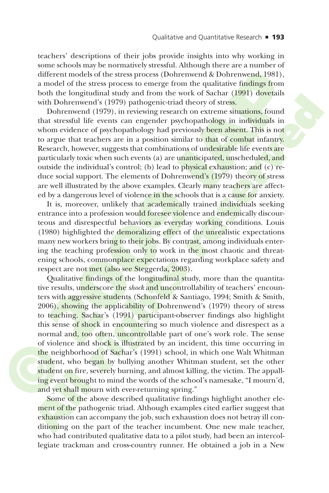teachers' descriptions of their jobs provide insights into why working in some schools may be normatively stressful. Although there are a number of different models of the stress process (Dohrenwend & Dohrenwend, 1981), a model of the stress process to emerge from the qualitative findings from both the longitudinal study and from the work of Sachar (1991) dovetails with Dohrenwend's (1979) pathogenic-triad theory of stress.

Dohrenwend (1979), in reviewing research on extreme situations, found that stressful life events can engender psychopathology in individuals in whom evidence of psychopathology had previously been absent. This is not to argue that teachers are in a position similar to that of combat infantry. Research, however, suggests that combinations of undesirable life events are particularly toxic when such events (a) are unanticipated, unscheduled, and outside the individual's control; (b) lead to physical exhaustion; and (c) reduce social support. The elements of Dohrenwend's (1979) theory of stress are well illustrated by the above examples. Clearly many teachers are affected by a dangerous level of violence in the schools that is a cause for anxiety.

It is, moreover, unlikely that academically trained individuals seeking entrance into a profession would foresee violence and endemically discourteous and disrespectful behaviors as everyday working conditions. Louis (1980) highlighted the demoralizing effect of the unrealistic expectations many new workers bring to their jobs. By contrast, among individuals entering the teaching profession only to work in the most chaotic and threatening schools, commonplace expectations regarding workplace safety and respect are not met (also see Steggerda, 2003).

different models of the stress process (Dohrenwend & Dohrenwend, 1981),<br>a model of the stress process to comerg from the qualitative findings from<br>both the longitudinal study and from the work of Sachar (1991) doverals<br>wi bond net couput<br>antarism statistical and yart tronchi and yart tronchi and yart tronchi bond and trees the content (1979) partogeneitectrical theory of stress.<br>
The treescond (1979) and preserved on extreme sintations, fo Qualitative findings of the longitudinal study, more than the quantitative results, underscore the *shock* and uncontrollability of teachers' encounters with aggressive students (Schonfeld & Santiago, 1994; Smith & Smith, 2006), showing the applicability of Dohrenwend's (1979) theory of stress to teaching. Sachar's (1991) participant-observer findings also highlight this sense of shock in encountering so much violence and disrespect as a normal and, too often, uncontrollable part of one's work role. The sense of violence and shock is illustrated by an incident, this time occurring in the neighborhood of Sachar's (1991) school, in which one Walt Whitman student, who began by bullying another Whitman student, set the other student on fire, severely burning, and almost killing, the victim. The appalling event brought to mind the words of the school's namesake, "I mourn'd, and yet shall mourn with ever-returning spring."

Some of the above described qualitative findings highlight another element of the pathogenic triad. Although examples cited earlier suggest that exhaustion can accompany the job, such exhaustion does not betray ill conditioning on the part of the teacher incumbent. One new male teacher, who had contributed qualitative data to a pilot study, had been an intercollegiate trackman and cross-country runner. He obtained a job in a New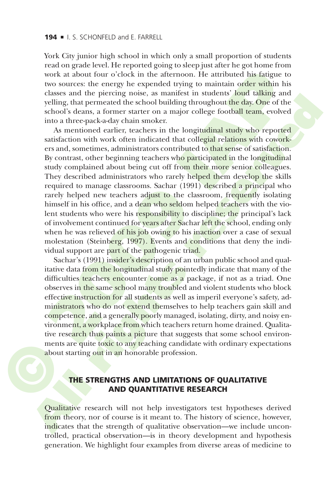York City junior high school in which only a small proportion of students read on grade level. He reported going to sleep just after he got home from work at about four o'clock in the afternoon. He attributed his fatigue to two sources: the energy he expended trying to maintain order within his classes and the piercing noise, as manifest in students' loud talking and yelling, that permeated the school building throughout the day. One of the school's deans, a former starter on a major college football team, evolved into a three-pack-a-day chain smoker.

work at about four o'clock in the afternoon. The attributed bis latigue to<br>two sources: the corresponded triving to maintain order within his<br>desired bis satigue to<br>two sources: the correspondent conducting through the dis Lasses and une pietung most and many and many and many and many and the school building throughout the day. One of the school building throughout the day, One of the school building throughout the day one of the school bui As mentioned earlier, teachers in the longitudinal study who reported satisfaction with work often indicated that collegial relations with coworkers and, sometimes, administrators contributed to that sense of satisfaction. By contrast, other beginning teachers who participated in the longitudinal study complained about being cut off from their more senior colleagues. They described administrators who rarely helped them develop the skills required to manage classrooms. Sachar (1991) described a principal who rarely helped new teachers adjust to the classroom, frequently isolating himself in his office, and a dean who seldom helped teachers with the violent students who were his responsibility to discipline; the principal's lack of involvement continued for years after Sachar left the school, ending only when he was relieved of his job owing to his inaction over a case of sexual molestation (Steinberg, 1997). Events and conditions that deny the individual support are part of the pathogenic triad.

Sachar's (1991) insider's description of an urban public school and qualitative data from the longitudinal study pointedly indicate that many of the difficulties teachers encounter come as a package, if not as a triad. One observes in the same school many troubled and violent students who block effective instruction for all students as well as imperil everyone's safety, administrators who do not extend themselves to help teachers gain skill and competence, and a generally poorly managed, isolating, dirty, and noisy environment, a workplace from which teachers return home drained. Qualitative research thus paints a picture that suggests that some school environments are quite toxic to any teaching candidate with ordinary expectations about starting out in an honorable profession.

# The Strengths and Limitations of Qualitative and Quantitative Research

Qualitative research will not help investigators test hypotheses derived from theory, nor of course is it meant to. The history of science, however, indicates that the strength of qualitative observation—we include uncontrolled, practical observation—is in theory development and hypothesis generation. We highlight four examples from diverse areas of medicine to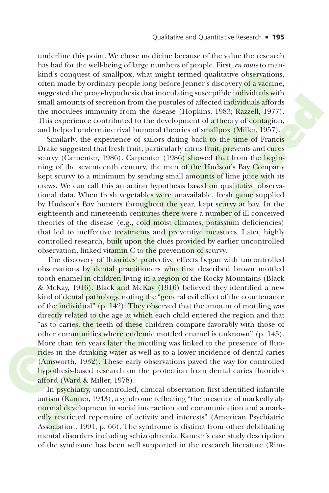underline this point. We chose medicine because of the value the research has had for the well-being of large numbers of people. First, *en route* to mankind's conquest of smallpox, what might termed qualitative observations, often made by ordinary people long before Jenner's discovery of a vaccine, suggested the proto-hypothesis that inoculating susceptible individuals with small amounts of secretion from the pustules of affected individuals affords the inoculees immunity from the disease (Hopkins, 1983; Razzell, 1977). This experience contributed to the development of a theory of contagion, and helped undermine rival humoral theories of smallpox (Miller, 1957).

Similarly, the experience of sailors dating back to the time of Francis Drake suggested that fresh fruit, particularly citrus fruit, prevents and cures scurvy (Carpenter, 1986). Carpenter (1986) showed that from the beginning of the seventeenth century, the men of the Hudson's Bay Company kept scurvy to a minimum by sending small amounts of lime juice with its crews. We can call this an action hypothesis based on qualitative observational data. When fresh vegetables were unavailable, fresh game supplied by Hudson's Bay hunters throughout the year, kept scurvy at bay. In the eighteenth and nineteenth centuries there were a number of ill conceived theories of the disease (e.g., cold moist climates, potassium deficiencies) that led to ineffective treatments and preventive measures. Later, highly controlled research, built upon the clues provided by earlier uncontrolled observation, linked vitamin C to the prevention of scurvy.

kind's conquest of smallpox, what might termed qualitative observations, of<br>en made by vortinary people long before Jemer's discovery of a vectories, suggested the proto-hypothesis that morulating susceptible individuals suggested or protospyoness us an otonially sate perme manusa served in the public of safected individuals affords<br>
in and amounts of scention from the pushules of affected individuals affords<br>
This experience contributed The discovery of fluorides' protective effects began with uncontrolled observations by dental practitioners who first described brown mottled tooth enamel in children living in a region of the Rocky Mountains (Black & McKay, 1916). Black and McKay (1916) believed they identified a new kind of dental pathology, noting the "general evil effect of the countenance of the individual" (p. 142). They observed that the amount of mottling was directly related to the age at which each child entered the region and that "as to caries, the teeth of these children compare favorably with those of other communities where endemic mottled enamel is unknown" (p. 145). More than ten years later the mottling was linked to the presence of fluorides in the drinking water as well as to a lower incidence of dental caries (Ainsworth, 1932). These early observations paved the way for controlled hypothesis-based research on the protection from dental caries fluorides afford (Ward & Miller, 1978).

In psychiatry, uncontrolled, clinical observation first identified infantile autism (Kanner, 1943), a syndrome reflecting "the presence of markedly abnormal development in social interaction and communication and a markedly restricted repertoire of activity and interests" (American Psychiatric Association, 1994, p. 66). The syndrome is distinct from other debilitating mental disorders including schizophrenia. Kanner's case study description of the syndrome has been well supported in the research literature (Rim-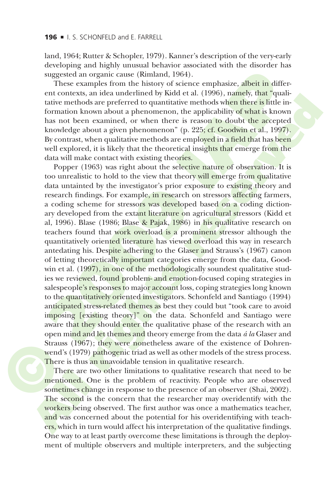land, 1964; Rutter & Schopler, 1979). Kanner's description of the very-early developing and highly unusual behavior associated with the disorder has suggested an organic cause (Rimland, 1964).

These examples from the history of science emphasize, albeit in different contexts, an idea underlined by Kidd et al. (1996), namely, that "qualitative methods are preferred to quantitative methods when there is little information known about a phenomenon, the applicability of what is known has not been examined, or when there is reason to doubt the accepted knowledge about a given phenomenon" (p. 225; cf. Goodwin et al., 1997). By contrast, when qualitative methods are employed in a field that has been well explored, it is likely that the theoretical insights that emerge from the data will make contact with existing theories.

suggesied an organic cause (Rimland, 1964).<br>
These camples from the history of science emphasize, albeit in different concrets<br>as, an idea underlined by Kidd et al. (1996), namely, that "qualitative methods are preferred ent to meas, an used uniterative by whut et at, (1390), hamely, uat quantized by a statement of the splitchiling what is known and the comparison have a been examined, or when there is respected known and the accepted kno Popper (1963) was right about the selective nature of observation. It is too unrealistic to hold to the view that theory will emerge from qualitative data untainted by the investigator's prior exposure to existing theory and research findings. For example, in research on stressors affecting farmers, a coding scheme for stressors was developed based on a coding dictionary developed from the extant literature on agricultural stressors (Kidd et al, 1996). Blase (1986; Blase & Pajak, 1986) in his qualitative research on teachers found that work overload is a prominent stressor although the quantitatively oriented literature has viewed overload this way in research antedating his. Despite adhering to the Glaser and Strauss's (1967) canon of letting theoretically important categories emerge from the data, Goodwin et al. (1997), in one of the methodologically soundest qualitative studies we reviewed, found problem- and emotion-focused coping strategies in salespeople's responses to major account loss, coping strategies long known to the quantitatively oriented investigators. Schonfeld and Santiago (1994) anticipated stress-related themes as best they could but "took care to avoid imposing [existing theory]" on the data. Schonfeld and Santiago were aware that they should enter the qualitative phase of the research with an open mind and let themes and theory emerge from the data *á la* Glaser and Strauss (1967); they were nonetheless aware of the existence of Dohrenwend's (1979) pathogenic triad as well as other models of the stress process. There is thus an unavoidable tension in qualitative research.

There are two other limitations to qualitative research that need to be mentioned. One is the problem of reactivity. People who are observed sometimes change in response to the presence of an observer (Shai, 2002). The second is the concern that the researcher may overidentify with the workers being observed. The first author was once a mathematics teacher, and was concerned about the potential for his overidentifying with teachers, which in turn would affect his interpretation of the qualitative findings. One way to at least partly overcome these limitations is through the deployment of multiple observers and multiple interpreters, and the subjecting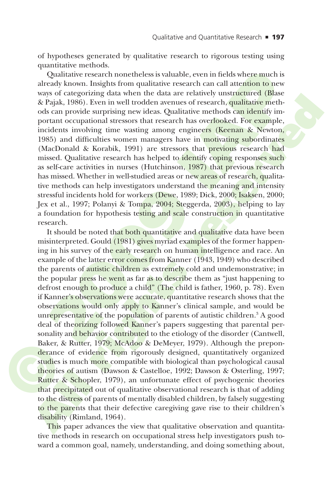of hypotheses generated by qualitative research to rigorous testing using quantitative methods.

Qualitative research nonetheless is valuable, even in fields where much is already known. Insights from qualitative research can call attention to new ways of categorizing data when the data are relatively unstructured (Blase & Pajak, 1986). Even in well trodden avenues of research, qualitative methods can provide surprising new ideas. Qualitative methods can identify important occupational stressors that research has overlooked. For example, incidents involving time wasting among engineers (Keenan & Newton, 1985) and difficulties women managers have in motivating subordinates (MacDonald & Korabik, 1991) are stressors that previous research had missed. Qualitative research has helped to identify coping responses such as self-care activities in nurses (Hutchinson, 1987) that previous research has missed. Whether in well-studied areas or new areas of research, qualitative methods can help investigators understand the meaning and intensity stressful incidents hold for workers (Dewe, 1989; Dick, 2000; Isaksen, 2000; Jex et al., 1997; Polanyi & Tompa, 2004; Steggerda, 2003), helping to lay a foundation for hypothesis testing and scale construction in quantitative research.

Constrainte research nonetheless is valuable, even in fields where much is<br>alvado known. Insights from qualitative research can call attention to new<br>ways of categorizing data when the data are relatively unstructured (Bl way or categorizing usan were use tack are reactively univariate to use<br>the Rigial, 1986). Even in well rotade an aeronics of research, qualifative methods can aeronic<br>straining reserved as Collaintie methods can density i It should be noted that both quantitative and qualitative data have been misinterpreted. Gould (1981) gives myriad examples of the former happening in his survey of the early research on human intelligence and race. An example of the latter error comes from Kanner (1943, 1949) who described the parents of autistic children as extremely cold and undemonstrative; in the popular press he went as far as to describe them as "just happening to defrost enough to produce a child" (The child is father, 1960, p. 78). Even if Kanner's observations were accurate, quantitative research shows that the observations would only apply to Kanner's clinical sample, and would be unrepresentative of the population of parents of autistic children.<sup>3</sup> A good deal of theorizing followed Kanner's papers suggesting that parental personality and behavior contributed to the etiology of the disorder (Cantwell, Baker, & Rutter, 1979; McAdoo & DeMeyer, 1979). Although the preponderance of evidence from rigorously designed, quantitatively organized studies is much more compatible with biological than psychological causal theories of autism (Dawson & Castelloe, 1992; Dawson & Osterling, 1997; Rutter & Schopler, 1979), an unfortunate effect of psychogenic theories that precipitated out of qualitative observational research is that of adding to the distress of parents of mentally disabled children, by falsely suggesting to the parents that their defective caregiving gave rise to their children's disability (Rimland, 1964).

This paper advances the view that qualitative observation and quantitative methods in research on occupational stress help investigators push toward a common goal, namely, understanding, and doing something about,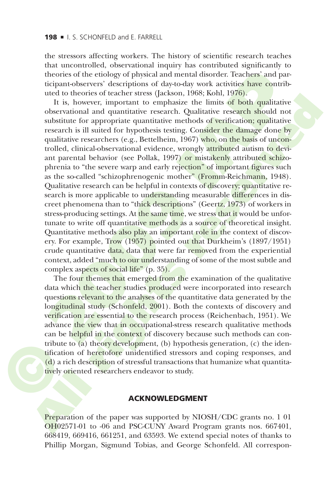the stressors affecting workers. The history of scientific research teaches that uncontrolled, observational inquiry has contributed significantly to theories of the etiology of physical and mental disorder. Teachers' and participant-observers' descriptions of day-to-day work activities have contributed to theories of teacher stress (Jackson, 1968; Kohl, 1976).

theories of the etiology of physical and mental disorder. Teachers' and participatent becomes 'descriptions of daytedoaly work activities have uterd to theories of tackerbar stress (Jackson, 1968; Kohl, 1976).<br>
It is, how net on theories so tractic sures the stational and quantitative reserved in the form is the stational and quantitative reserved in the substitute for appropriate quantitative reserved is the substitute for appropriate qua It is, however, important to emphasize the limits of both qualitative observational and quantitative research. Qualitative research should not substitute for appropriate quantitative methods of verification; qualitative research is ill suited for hypothesis testing. Consider the damage done by qualitative researchers (e.g., Bettelheim, 1967) who, on the basis of uncontrolled, clinical-observational evidence, wrongly attributed autism to deviant parental behavior (see Pollak, 1997) or mistakenly attributed schizophrenia to "the severe warp and early rejection" of important figures such as the so-called "schizophrenogenic mother" (Fromm-Reichmann, 1948). Qualitative research can be helpful in contexts of discovery; quantitative research is more applicable to understanding measurable differences in discreet phenomena than to "thick descriptions" (Geertz, 1973) of workers in stress-producing settings. At the same time, we stress that it would be unfortunate to write off quantitative methods as a source of theoretical insight. Quantitative methods also play an important role in the context of discovery. For example, Trow (1957) pointed out that Durkheim's (1897/1951) crude quantitative data, data that were far removed from the experiential context, added "much to our understanding of some of the most subtle and complex aspects of social life" (p. 35).

The four themes that emerged from the examination of the qualitative data which the teacher studies produced were incorporated into research questions relevant to the analyses of the quantitative data generated by the longitudinal study (Schonfeld, 2001). Both the contexts of discovery and verification are essential to the research process (Reichenbach, 1951). We advance the view that in occupational-stress research qualitative methods can be helpful in the context of discovery because such methods can contribute to (a) theory development, (b) hypothesis generation, (c) the identification of heretofore unidentified stressors and coping responses, and (d) a rich description of stressful transactions that humanize what quantitatively oriented researchers endeavor to study.

### Acknowledgment

Preparation of the paper was supported by NIOSH/CDC grants no. 1 01 OH02571-01 to -06 and PSC-CUNY Award Program grants nos. 667401, 668419, 669416, 661251, and 63593. We extend special notes of thanks to Phillip Morgan, Sigmund Tobias, and George Schonfeld. All correspon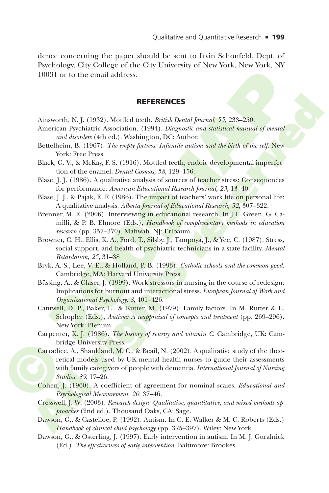dence concerning the paper should be sent to Irvin Schonfeld, Dept. of Psychology, City College of the City University of New York, New York, NY 10031 or to the email address.

### **REFERENCES**

Ainsworth, N. J. (1932). Mottled teeth. *British Dental Journal, 55,* 233–250.

- American Psychiatric Association. (1994). *Diagnostic and statistical manual of mental and disorders* (4th ed.). Washington, DC: Author.
- Bettelheim, B. (1967). *The empty fortress: Infantile autism and the birth of the self*. New York: Free Press.
- Black, G. V., & McKay, F. S. (1916). Mottled teeth; endoic developmental imperfection of the enamel. *Dental Cosmos, 58,* 129–156.
- Blase, J. J. (1986). A qualitative analysis of sources of teacher stress: Consequences for performance. *American Educational Research Journal, 23,* 13–40.
- Blase, J. J., & Pajak, E. F. (1986). The impact of teachers' work life on personal life: A qualitative analysis. *Alberta Journal of Educational Research, 32*, 307–322.
- Brenner, M. E. (2006). Interviewing in educational research. In J.L. Green, G. Camilli, & P. B. Elmore (Eds.), *Handbook of complementary methods in education*  research (pp. 357–370). Mahwah, NJ: Erlbaum.
- Browner, C. H., Ellis, K. A., Ford, T., Silsby, J., Tampoya, J., & Yee, C. (1987). Stress, social support, and health of psychiatric technicians in a state facility. *Mental Retardation, 25*, 31–38
- Bryk, A. S., Lee, V. E., & Holland, P. B. (1993). *Catholic schools and the common good*. Cambridge, MA: Harvard University Press.
- Büssing, A., & Glaser, J. (1999). Work stressors in nursing in the course of redesign: Implications for burnout and interactional stress. *European Journal of Work and Organizational Psychology, 8*, 401–426.
- Cantwell, D. P., Baker, L., & Rutter, M. (1979). Family factors. In M. Rutter & E. Schopler (Eds.), *Autism: A reappraisal of concepts and treatment* (pp. 269–296). New York: Plenum.
- Carpenter, K. J. (1986). *The history of scurvy and vitamin C*. Cambridge, UK: Cambridge University Press.
- 10031 or to the cmail address.<br> **REFERENCES**<br>
MINEMETAL Arms (1694). Noticellated beach and *b* and *b* and *s* and *a* and *a* and *a* and *a* and *a* and *a* and *a* and *a* and *a* and *a* and *a* and *a* and *a* and **REFERENCES**<br>
Annexooth, N.J. (1932). Motuled teeth. *British Dental Journal*, 55, 233-250,<br>
Annexis and disserviative Association (1984). *Diagonalis and the bigith of herial different*). It, (1967). *The empty jorness:* Carradice, A., Shankland, M. C., & Beail, N. (2002). A qualitative study of the theoretical models used by UK mental health nurses to guide their assessments with family caregivers of people with dementia. *International Journal of Nursing Studies, 39*, 17–26.
	- Cohen, J. (1960). A coefficient of agreement for nominal scales. *Educational and Psychological Measurement, 20,* 37–46.
	- Cresswell, J. W. (2003). *Research design: Qualitative, quantitative, and mixed methods approaches* (2nd ed.). Thousand Oaks, CA: Sage.
	- Dawson, G., & Castelloe, P. (1992). Autism. In C. E. Walker & M. C. Roberts (Eds.) *Handbook of clinical child psychology* (pp. 375–397). Wiley: New York.
	- Dawson, G., & Osterling, J. (1997). Early intervention in autism. In M. J. Guralnick (Ed.). *The effectiveness of early intervention*. Baltimore: Brookes.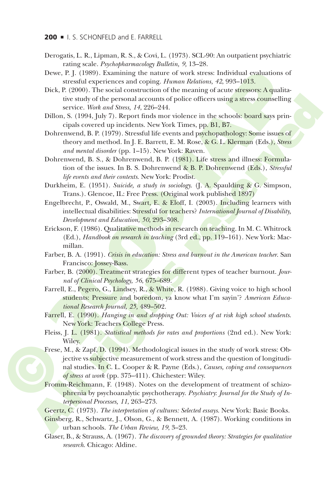- Derogatis, L. R., Lipman, R. S., & Covi, L. (1973). SCL-90: An outpatient psychiatric rating scale. *Psychopharmacology Bulletin, 9,* 13–28.
- Dewe, P. J. (1989). Examining the nature of work stress: Individual evaluations of stressful experiences and coping. *Human Relations, 42*, 993–1013.
- Dick, P. (2000). The social construction of the meaning of acute stressors: A qualitative study of the personal accounts of police officers using a stress counselling service. *Work and Stress, 14*, 226–244.
- Dillon, S. (1994, July 7). Report finds mor violence in the schools: board says principals covered up incidents. New York Times, pp. B1, B7.
- Dohrenwend, B. P. (1979). Stressful life events and psychopathology: Some issues of theory and method. In J. E. Barrett, E. M. Rose, & G. L. Klerman (Eds.), *Stress and mental disorder* (pp. 1–15). New York: Raven.
- Dohrenwend, B. S., & Dohrenwend, B. P. (1981). Life stress and illness: Formulation of the issues. In B. S. Dohrenwend & B. P. Dohrenwend (Eds.), *Stressful life events and their contexts*. New York: Prodist.
- Durkheim, E. (1951). *Suicide, a study in sociology*. (J. A. Spaulding & G. Simpson, Trans.). Glencoe, IL: Free Press. (Original work published 1897)
- Engelbrecht, P., Oswald, M., Swart, E. & Eloff, I. (2003). Including learners with intellectual disabilities: Stressful for teachers? *International Journal of Disability, Development and Education, 50*, 293–308.
- Erickson, F. (1986). Qualitative methods in research on teaching. In M. C. Whitrock (Ed.), *Handbook on research in teaching* (3rd ed., pp. 119–161). New York: Macmillan.
- Farber, B. A. (1991). *Crisis in education: Stress and burnout in the American teacher*. San Francisco: Jossey-Bass.
- Farber, B. (2000). Treatment strategies for different types of teacher burnout. *Journal of Clinical Psychology, 56*, 675–689.
- Farrell, E., Pegero, G., Lindsey, R., & White, R. (1988). Giving voice to high school students: Pressure and boredom, ya know what I'm sayin'? *American Educational Research Journal, 25,* 489–502.
- Farrell, E. (1990). *Hanging in and dropping Out: Voices of at risk high school students*. New York: Teachers College Press.
- Fleiss, J. L. (1981). *Statistical methods for rates and proportions* (2nd ed.). New York: Wiley.
- Deser, P. (1989). Evansing the nature of work stress the<br>friedrical equation (see the stress of the preferences and coping. *Human Relations*, 42,989–1013.<br>
Let, P. (2009). The social construction of the meaning of actual ive surdy of the personal accounts of police officers sing a stress connectiing<br>
are service. Work and Street Total range victoric entries that served the served tip incidents. New York Times, pp. B1, B7.<br>
Difference that Frese, M., & Zapf, D. (1994). Methodological issues in the study of work stress: Objective vs subjective measurement of work stress and the question of longitudinal studies. In C. L. Cooper & R. Payne (Eds.), *Causes, coping and consequences of stress at work* (pp. 375–411). Chichester: Wiley.
	- Fromm-Reichmann, F. (1948). Notes on the development of treatment of schizophrenia by psychoanalytic psychotherapy. *Psychiatry*: *Journal for the Study of Interpersonal Processes, 11*, 263–273.
	- Geertz, C. (1973). *The interpretation of cultures: Selected essays*. New York: Basic Books.
	- Ginsberg, R., Schwartz, J., Olson, G., & Bennett, A. (1987). Working conditions in urban schools. *The Urban Review, 19*, 3–23.
	- Glaser, B., & Strauss, A. (1967). *The discovery of grounded theory: Strategies for qualitative research*. Chicago: Aldine.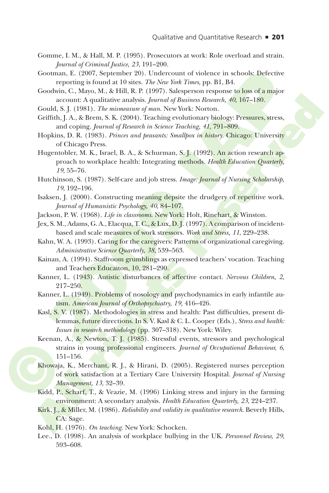- Gomme, I. M., & Hall, M. P. (1995). Prosecutors at work: Role overload and strain. *Journal of Criminal Justice, 23*, 191–200.
- Gootman, E. (2007, September 20). Undercount of violence in schools: Defective reporting is found at 10 sites. *The New York Times*, pp. B1, B4.

Goodwin, C., Mayo, M., & Hill, R. P. (1997). Salesperson response to loss of a major account: A qualitative analysis. *Journal of Business Research, 40*, 167–180.

Gould, S. J. (1981). *The mismeasure of man*. New York: Norton.

- Griffith, J. A., & Brem, S. K. (2004). Teaching evolutionary biology: Pressures, stress, and coping. *Journal of Research in Science Teaching, 41*, 791–809.
- Hopkins, D. R. (1983). *Princes and peasants: Smallpox in history*. Chicago: University of Chicago Press.
- Hugentobler, M. K., Israel, B. A., & Schurman, S. J. (1992). An action research approach to workplace health: Integrating methods. *Health Education Quarterly, 19*, 55–76.

Hutchinson, S. (1987). Self-care and job stress. *Image: Journal of Nursing Scholarship, 19*, 192–196.

- Isaksen, J. (2000). Constructing meaning depsite the drudgery of repetitive work. *Journal of Humanistic Psychology, 40*, 84–107.
- Jackson, P. W. (1968). *Life in classrooms*. New York: Holt, Rinehart, & Winston.
- Jex, S. M., Adams, G. A., Elacqua, T. C., & Lux, D. J. (1997). A comparison of incidentbased and scale measures of work stressors. *Work and Stress, 11*, 229–238.
- Kahn, W. A. (1993). Caring for the caregivers: Patterns of organizational caregiving. *Administrative Science Quarterly, 38*, 539–563.
- Kainan, A. (1994). Staffroom grumblings as expressed teachers' vocation. Teaching and Teachers Educaiton, 10, 281–290.

Kanner, L. (1943). Autistic disturbances of affective contact. *Nervous Children, 2,* 217–250.

Kanner, L. (1949). Problems of nosology and psychodynamics in early infantile autism. *American Journal of Orthopsychiatry, 19,* 416–426.

- Countan, E. (2007). September 20). Undercount of violence in schools. Defective<br>conding is found at 10 sites. The New York Times, pp. B1, B4.<br>Coolwin, C., Maryo, M., & Hill, R. P. (1997). Subseptron response to loss of a **Could.** S. J. (1983). The mineral original of Business Reserved All 167-180.<br>
Gould. S. J. (1981). The mineral original properties reserved by the SUC Could. S. J. (1981). The mineral control is better both Norton.<br>
The Kasl, S. V. (1987). Methodologies in stress and health: Past difficulties, present dilemmas, future directions. In S. V. Kasl & C. L. Cooper (Eds.), *Stress and health: Issues in research methodology* (pp. 307–318). New York: Wiley.
	- Keenan, A., & Newton, T. J. (1985). Stressful events, stressors and psychological strains in young professional engineers. *Journal of Occupational Behaviour, 6*, 151–156.
	- Khowaja, K., Merchant, R. J., & Hirani, D. (2005). Registered nurses perception of work satisfaction at a Tertiary Care University Hospital. *Journal of Nursing Management, 13*, 32–39.
	- Kidd, P., Scharf, T., & Veazie, M. (1996) Linking stress and injury in the farming environment: A secondary analysis. *Health Education Quarterly, 23*, 224–237.
	- Kirk, J., & Miller, M. (1986). *Reliability and validity in qualitative research*. Beverly Hills, CA: Sage.
	- Kohl, H. (1976). *On teaching*. New York: Schocken.
	- Lee., D. (1998). An analysis of workplace bullying in the UK. *Personnel Review, 29*, 593–608.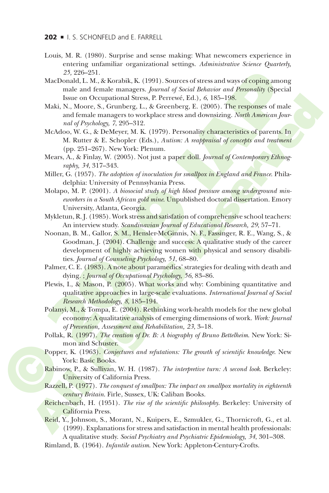202 **I.** S. SCHONFELD and E. FARRELL

- Louis, M. R. (1980). Surprise and sense making: What newcomers experience in entering unfamiliar organizational settings. *Administrative Science Quarterly, 25,* 226–251.
- MacDonald, L. M., & Korabik, K. (1991). Sources of stress and ways of coping among male and female managers. *Journal of Social Behavior and Personality* (Special Issue on Occupational Stress, P. Perrewé, Ed.)*, 6*, 185–198.
- Maki, N., Moore, S., Grunberg, L., & Greenberg, E. (2005). The responses of male and female managers to workplace stress and downsizing. *North American Journal of Psychology, 7*, 295–312.
- McAdoo, W. G., & DeMeyer, M. K. (1979). Personality characteristics of parents. In M. Rutter & E. Schopler (Eds.), *Autism: A reappraisal of concepts and treatment* (pp. 251–267). New York: Plenum.
- Mears, A., & Finlay, W. (2005). Not just a paper doll. *Journal of Contemporary Ethnography, 34*, 317–343.
- Miller, G. (1957). *The adoption of inoculation for smallpox in England and France*. Philadelphia: University of Pennsylvania Press.
- Molapo, M. P. (2001). *A biosocial study of high blood pressure among underground mineworkers in a South African gold mine*. Unpublished doctoral dissertation. Emory University, Atlanta, Georgia.
- Mykletun, R. J. (1985). Work stress and satisfation of comprehensive school teachers: An interview study. *Scandinavian Journal of Educational Research, 29*, 57–71.
- 25. 224-267). New the Markon Mayon Coping amony<br>
26. 224-291. N. K Korabik, K. (1991). Sources of stress and ways of coping amony<br>
male and female managers. Journal of Social Betation and Germanics<br>
Issue, on Occupational Issue on Occupational Sires, P. Perrece, Ed.), 6, 1885-1986<br>Mai, N., Moore, S., Grunderg, I., & Greenberg, F. (2005). The responses of male and renaise mangers to workplace stress and downstring. Northcon Works of Case De Noonan, B. M., Gallor, S. M., Hensler-McGinnis, N. F., Fassinger, R. E., Wang, S., & Goodman, J. (2004). Challenge and success: A qualitative study of the career development of highly achieving women with physical and sensory disabilities. *Journal of Counseling Psychology, 51*, 68–80.
	- Palmer, C. E. (1983). A note about paramedics' strategies for dealing with death and dying. ; *Journal of Occupational Psychology, 56*, 83–86.
	- Plewis, I., & Mason, P. (2005). What works and why: Combining quantitative and qualitative approaches in large-scale evaluations. *International Journal of Social Research Methodology, 8*, 185–194.
	- Polanyi, M., & Tompa, E. (2004). Rethinking work-health models for the new global economy: A qualitative analysis of emerging dimensions of work. *Work: Journal of Prevention, Assessment and Rehabilitation, 23*, 3–18.
	- Pollak, R. (1997). *The creation of Dr. B: A biography of Bruno Bettelheim*. New York: Simon and Schuster.
	- Popper, K. (1963). *Conjectures and refutations: The growth of scientific knowledge*. New York: Basic Books.
	- Rabinow, P., & Sullivan, W. H. (1987). *The interpretive turn: A second look*. Berkeley: University of California Press.
	- Razzell, P. (1977). *The conquest of smallpox: The impact on smallpox mortality in eighteenth century Britain*. Firle, Sussex, UK: Caliban Books.
	- Reichenbach, H. (1951). *The rise of the scientific philosophy*. Berkeley: University of California Press.
	- Reid, Y., Johnson, S., Morant, N., Kuipers, E., Szmukler, G., Thornicroft, G., et al. (1999). Explanations for stress and satisfaction in mental health professionals: A qualitative study. *Social Psychiatry and Psychiatric Epidemiology, 34*, 301–308.
	- Rimland, B. (1964). *Infantile autism*. New York: Appleton-Century-Crofts.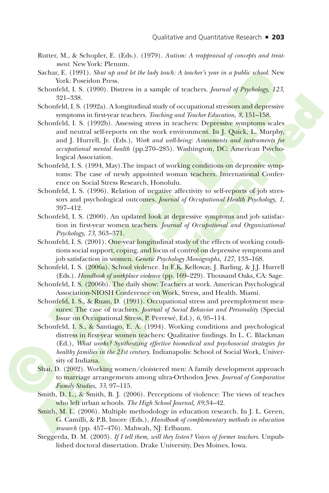- Rutter, M., & Schopler, E. (Eds.). (1979). *Autism: A reappraisal of concepts and treatment*. New York: Plenum.
- Sachar, E. (1991). *Shut up and let the lady teach: A teacher's year in a public school*. New York: Poseidon Press.
- Schonfeld, I. S. (1990). Distress in a sample of teachers. *Journal of Psychology, 123,* 321–338.
- Schonfeld, I. S. (1992a). A longitudinal study of occupational stressors and depressive symptoms in first-year teachers. *Teaching and Teacher Education, 8,* 151–158.
- Schonfeld, I. S. (1992b). Assessing stress in teachers: Depressive symptoms scales and neutral self-reports on the work environment. In J. Quick, L. Murphy, and J. Hurrell, Jr. (Eds.), *Work and well-being: Assessments and instruments for occupational mental health* (pp.270–285). Washington, DC: American Psychological Association.
- Schonfeld, I. S. (1994, May).The impact of working conditions on depressive symptoms: The case of newly appointed woman teachers. International Conference on Social Stress Research, Honolulu.
- Schonfeld, I. S. (1996). Relation of negative affectivity to self-reports of job stressors and psychological outcomes. *Journal of Occupational Health Psychology, 1,* 397–412.
- Schonfeld, I. S. (2000). An updated look at depressive symptoms and job satisfaction in first-year women teachers. *Journal of Occupational and Organizational Psychology, 73,* 363–371.
- Schonfeld, I. S. (2001). One-year longitudinal study of the effects of working conditions social support, coping, and locus of control on depressive symptoms and job satisfaction in women. *Genetic Psychology Monographs, 127,* 133–168.
- Schonfeld, I. S. (2006a). School violence. In E.K. Kelloway, J. Barling, & J.J. Hurrell (Eds.). *Handbook of workplace violence* (pp. 169–229). Thousand Oaks, CA: Sage.
- Schonfeld, I. S. (2006b). The daily show: Teachers at work. American Psychological Association-NIOSH Conference on Work, Stress, and Health. Miami.
- Schonfeld, I. S., & Ruan, D. (1991). Occupational stress and preemployment measures: The case of teachers. *Journal of Social Behavior and Personality* (Special Issue on Occupational Stress, P. Perrewé, Ed.)*, 6*, 95–114.
- Sachar, E. (1991). Shu ny and le he lanj tendi. A teacher's year in a public school. New York: Postellon Press.<br>
Schooled I. S. (1990). Distress in a sample of teachers, Journal of Psychology, 123, Schooled I. I.S. (1990) Schooffeld, 1. S. (1992a). A longitudinal study of occupational stressors and depressive<br>Schooffeld, 1. S. (1992b). Assessing stress in teachers: Depressive, which risk<br>Field and incredict Fieldow Holen Controlling and in Schonfeld, I. S., & Santiago, E. A. (1994). Working conditions and psychological distress in first-year women teachers: Qualitative findings. In L. C. Blackman (Ed.), *What works? Synthesizing effective biomedical and psychosocial strategies for healthy families in the 21st century*. Indianapolis: School of Social Work, University of Indiana.
	- Shai, D. (2002). Working women/cloistered men: A family development approach to marriage arrangements among ultra-Orthodox Jews. *Journal of Comparative Family Studies, 33*, 97–115.
	- Smith, D. L., & Smith, B. J. (2006). Perceptions of violence: The views of teaches who left urban schools. *The High School Journal, 89,*34–42.
	- Smith, M. L. (2006). Multiple methodology in education research. In J. L. Green, G. Camilli, & P.B. lmore (Eds.), *Handbook of complementary methods in education research* (pp. 457–476). Mahwah, NJ: Erlbaum.
	- Steggerda, D. M. (2003). *If I tell them, will they listen? Voices of former teachers*. Unpublished doctoral dissertation. Drake University, Des Moines, Iowa.